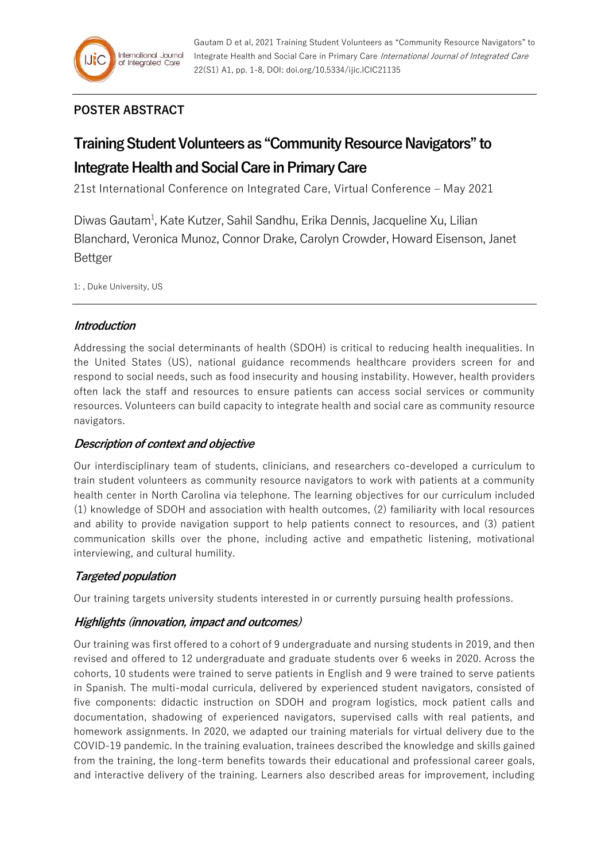

# **POSTER ABSTRACT**

# **Training Student Volunteers as "Community Resource Navigators" to Integrate Health and Social Care in Primary Care**

21st International Conference on Integrated Care, Virtual Conference – May 2021

Diwas Gautam<sup>1</sup>, Kate Kutzer, Sahil Sandhu, Erika Dennis, Jacqueline Xu, Lilian Blanchard, Veronica Munoz, Connor Drake, Carolyn Crowder, Howard Eisenson, Janet Bettger

1: , Duke University, US

## **Introduction**

Addressing the social determinants of health (SDOH) is critical to reducing health inequalities. In the United States (US), national guidance recommends healthcare providers screen for and respond to social needs, such as food insecurity and housing instability. However, health providers often lack the staff and resources to ensure patients can access social services or community resources. Volunteers can build capacity to integrate health and social care as community resource navigators.

## **Description of context and objective**

Our interdisciplinary team of students, clinicians, and researchers co-developed a curriculum to train student volunteers as community resource navigators to work with patients at a community health center in North Carolina via telephone. The learning objectives for our curriculum included (1) knowledge of SDOH and association with health outcomes, (2) familiarity with local resources and ability to provide navigation support to help patients connect to resources, and (3) patient communication skills over the phone, including active and empathetic listening, motivational interviewing, and cultural humility.

## **Targeted population**

Our training targets university students interested in or currently pursuing health professions.

## **Highlights (innovation, impact and outcomes)**

Our training was first offered to a cohort of 9 undergraduate and nursing students in 2019, and then revised and offered to 12 undergraduate and graduate students over 6 weeks in 2020. Across the cohorts, 10 students were trained to serve patients in English and 9 were trained to serve patients in Spanish. The multi-modal curricula, delivered by experienced student navigators, consisted of five components: didactic instruction on SDOH and program logistics, mock patient calls and documentation, shadowing of experienced navigators, supervised calls with real patients, and homework assignments. In 2020, we adapted our training materials for virtual delivery due to the COVID-19 pandemic. In the training evaluation, trainees described the knowledge and skills gained from the training, the long-term benefits towards their educational and professional career goals, and interactive delivery of the training. Learners also described areas for improvement, including